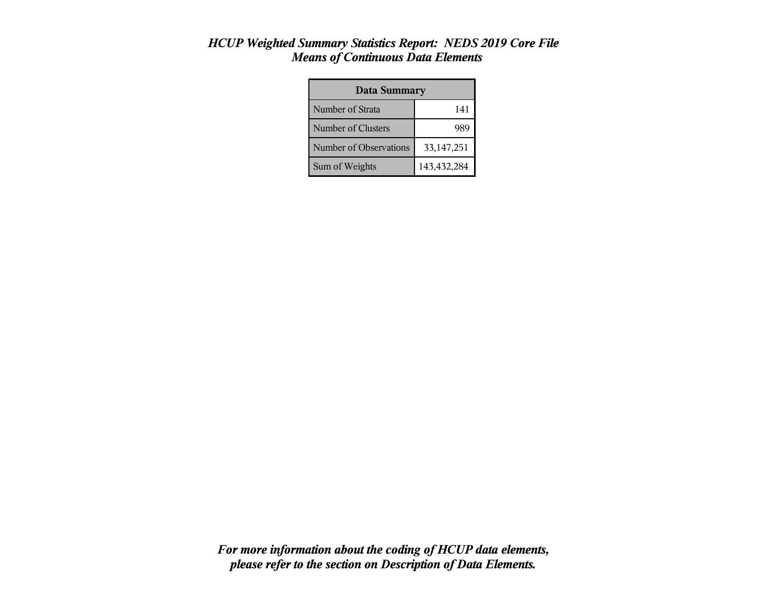| <b>Data Summary</b>    |              |  |  |
|------------------------|--------------|--|--|
| Number of Strata       | 141          |  |  |
| Number of Clusters     |              |  |  |
| Number of Observations | 33, 147, 251 |  |  |
| Sum of Weights         | 143,432,284  |  |  |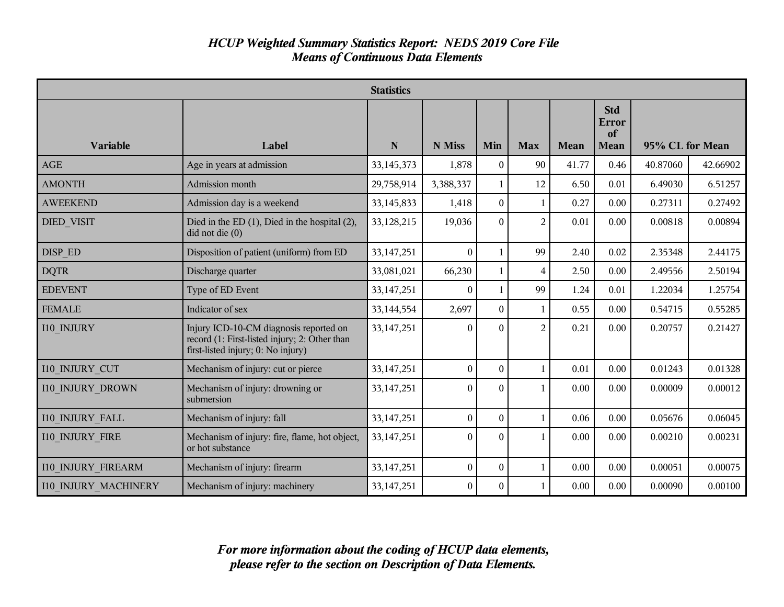|                             |                                                                                                                               | <b>Statistics</b> |                  |                  |                |             |                                   |                 |          |
|-----------------------------|-------------------------------------------------------------------------------------------------------------------------------|-------------------|------------------|------------------|----------------|-------------|-----------------------------------|-----------------|----------|
| <b>Variable</b>             | Label                                                                                                                         | N                 | N Miss           | Min              | <b>Max</b>     | <b>Mean</b> | <b>Std</b><br>Error<br>of<br>Mean | 95% CL for Mean |          |
| <b>AGE</b>                  | Age in years at admission                                                                                                     | 33,145,373        | 1,878            | $\theta$         | 90             | 41.77       | 0.46                              | 40.87060        | 42.66902 |
| <b>AMONTH</b>               | Admission month                                                                                                               | 29,758,914        | 3,388,337        | 1                | 12             | 6.50        | 0.01                              | 6.49030         | 6.51257  |
| <b>AWEEKEND</b>             | Admission day is a weekend                                                                                                    | 33,145,833        | 1,418            | $\bf{0}$         | 1              | 0.27        | 0.00                              | 0.27311         | 0.27492  |
| <b>DIED VISIT</b>           | Died in the ED $(1)$ , Died in the hospital $(2)$ ,<br>$did$ not die $(0)$                                                    | 33,128,215        | 19,036           | $\Omega$         | $\overline{2}$ | 0.01        | 0.00                              | 0.00818         | 0.00894  |
| DISP ED                     | Disposition of patient (uniform) from ED                                                                                      | 33,147,251        | $\theta$         |                  | 99             | 2.40        | 0.02                              | 2.35348         | 2.44175  |
| <b>DQTR</b>                 | Discharge quarter                                                                                                             | 33,081,021        | 66,230           | 1                | 4              | 2.50        | 0.00                              | 2.49556         | 2.50194  |
| <b>EDEVENT</b>              | Type of ED Event                                                                                                              | 33, 147, 251      | $\mathbf{0}$     | 1                | 99             | 1.24        | 0.01                              | 1.22034         | 1.25754  |
| <b>FEMALE</b>               | Indicator of sex                                                                                                              | 33,144,554        | 2,697            | $\boldsymbol{0}$ | 1              | 0.55        | 0.00                              | 0.54715         | 0.55285  |
| I10 INJURY                  | Injury ICD-10-CM diagnosis reported on<br>record (1: First-listed injury; 2: Other than<br>first-listed injury; 0: No injury) | 33,147,251        | $\theta$         | $\Omega$         | $\overline{2}$ | 0.21        | 0.00                              | 0.20757         | 0.21427  |
| <b>I10 INJURY CUT</b>       | Mechanism of injury: cut or pierce                                                                                            | 33,147,251        | $\theta$         | $\theta$         | 1              | 0.01        | 0.00                              | 0.01243         | 0.01328  |
| <b>I10 INJURY DROWN</b>     | Mechanism of injury: drowning or<br>submersion                                                                                | 33,147,251        | $\boldsymbol{0}$ | $\theta$         |                | 0.00        | 0.00                              | 0.00009         | 0.00012  |
| <b>I10 INJURY FALL</b>      | Mechanism of injury: fall                                                                                                     | 33, 147, 251      | $\boldsymbol{0}$ | $\theta$         |                | 0.06        | 0.00                              | 0.05676         | 0.06045  |
| <b>I10 INJURY FIRE</b>      | Mechanism of injury: fire, flame, hot object,<br>or hot substance                                                             | 33,147,251        | $\theta$         | $\Omega$         |                | 0.00        | 0.00                              | 0.00210         | 0.00231  |
| <b>I10 INJURY FIREARM</b>   | Mechanism of injury: firearm                                                                                                  | 33,147,251        | $\boldsymbol{0}$ | $\theta$         | 1              | 0.00        | 0.00                              | 0.00051         | 0.00075  |
| <b>I10 INJURY MACHINERY</b> | Mechanism of injury: machinery                                                                                                | 33,147,251        | $\mathbf{0}$     | $\Omega$         |                | 0.00        | 0.00                              | 0.00090         | 0.00100  |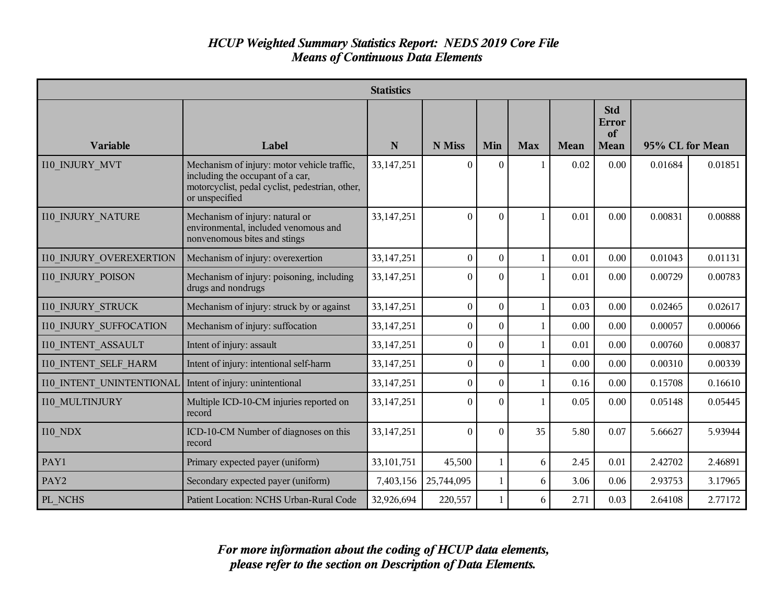|                               | <b>Statistics</b>                                                                                                                                    |              |                  |                |            |             |                                          |                 |         |
|-------------------------------|------------------------------------------------------------------------------------------------------------------------------------------------------|--------------|------------------|----------------|------------|-------------|------------------------------------------|-----------------|---------|
| <b>Variable</b>               | Label                                                                                                                                                | N            | N Miss           | Min            | <b>Max</b> | <b>Mean</b> | <b>Std</b><br>Error<br>of<br><b>Mean</b> | 95% CL for Mean |         |
| <b>I10 INJURY MVT</b>         | Mechanism of injury: motor vehicle traffic,<br>including the occupant of a car,<br>motorcyclist, pedal cyclist, pedestrian, other,<br>or unspecified | 33,147,251   | $\theta$         | $\Omega$       |            | 0.02        | 0.00                                     | 0.01684         | 0.01851 |
| <b>I10 INJURY NATURE</b>      | Mechanism of injury: natural or<br>environmental, included venomous and<br>nonvenomous bites and stings                                              | 33,147,251   | $\theta$         | $\Omega$       |            | 0.01        | 0.00                                     | 0.00831         | 0.00888 |
| 110 INJURY OVEREXERTION       | Mechanism of injury: overexertion                                                                                                                    | 33,147,251   | $\theta$         | $\theta$       |            | 0.01        | 0.00                                     | 0.01043         | 0.01131 |
| <b>I10 INJURY POISON</b>      | Mechanism of injury: poisoning, including<br>drugs and nondrugs                                                                                      | 33,147,251   | $\theta$         | $\theta$       |            | 0.01        | 0.00                                     | 0.00729         | 0.00783 |
| <b>I10 INJURY STRUCK</b>      | Mechanism of injury: struck by or against                                                                                                            | 33, 147, 251 | $\boldsymbol{0}$ | $\overline{0}$ | 1          | 0.03        | 0.00                                     | 0.02465         | 0.02617 |
| <b>I10 INJURY SUFFOCATION</b> | Mechanism of injury: suffocation                                                                                                                     | 33, 147, 251 | $\boldsymbol{0}$ | $\theta$       |            | 0.00        | 0.00                                     | 0.00057         | 0.00066 |
| <b>I10 INTENT ASSAULT</b>     | Intent of injury: assault                                                                                                                            | 33, 147, 251 | $\boldsymbol{0}$ | $\Omega$       |            | 0.01        | 0.00                                     | 0.00760         | 0.00837 |
| <b>I10 INTENT SELF HARM</b>   | Intent of injury: intentional self-harm                                                                                                              | 33,147,251   | $\boldsymbol{0}$ | $\theta$       | 1          | 0.00        | 0.00                                     | 0.00310         | 0.00339 |
| 110 INTENT UNINTENTIONAL      | Intent of injury: unintentional                                                                                                                      | 33, 147, 251 | $\boldsymbol{0}$ | $\overline{0}$ |            | 0.16        | 0.00                                     | 0.15708         | 0.16610 |
| I10 MULTINJURY                | Multiple ICD-10-CM injuries reported on<br>record                                                                                                    | 33,147,251   | $\theta$         | $\Omega$       |            | 0.05        | 0.00                                     | 0.05148         | 0.05445 |
| <b>I10 NDX</b>                | ICD-10-CM Number of diagnoses on this<br>record                                                                                                      | 33,147,251   | $\theta$         | $\theta$       | 35         | 5.80        | 0.07                                     | 5.66627         | 5.93944 |
| PAY1                          | Primary expected payer (uniform)                                                                                                                     | 33,101,751   | 45,500           | 1              | 6          | 2.45        | 0.01                                     | 2.42702         | 2.46891 |
| PAY2                          | Secondary expected payer (uniform)                                                                                                                   | 7,403,156    | 25,744,095       | 1              | 6          | 3.06        | 0.06                                     | 2.93753         | 3.17965 |
| PL NCHS                       | Patient Location: NCHS Urban-Rural Code                                                                                                              | 32,926,694   | 220,557          | 1              | 6          | 2.71        | 0.03                                     | 2.64108         | 2.77172 |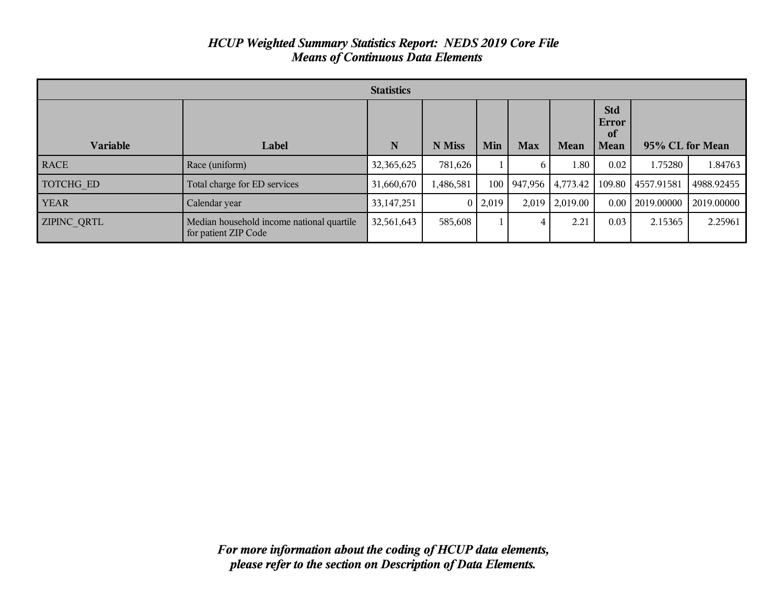| <b>Statistics</b> |                                                                   |              |           |                |            |          |                                          |                 |            |
|-------------------|-------------------------------------------------------------------|--------------|-----------|----------------|------------|----------|------------------------------------------|-----------------|------------|
| <b>Variable</b>   | Label                                                             | N            | N Miss    | Min            | <b>Max</b> | Mean     | <b>Std</b><br>Error<br>of<br><b>Mean</b> | 95% CL for Mean |            |
| <b>RACE</b>       | Race (uniform)                                                    | 32,365,625   | 781,626   |                | 6          | 1.80     | 0.02                                     | 1.75280         | 1.84763    |
| TOTCHG ED         | Total charge for ED services                                      | 31,660,670   | 1,486,581 | 100            | 947,956    | 4,773.42 | 109.80                                   | 4557.91581      | 4988.92455 |
| <b>YEAR</b>       | Calendar year                                                     | 33, 147, 251 |           | $0 \mid 2,019$ | 2,019      | 2,019.00 | 0.00                                     | 2019.00000      | 2019.00000 |
| ZIPINC_QRTL       | Median household income national quartile<br>for patient ZIP Code | 32,561,643   | 585,608   |                | 4          | 2.21     | 0.03                                     | 2.15365         | 2.25961    |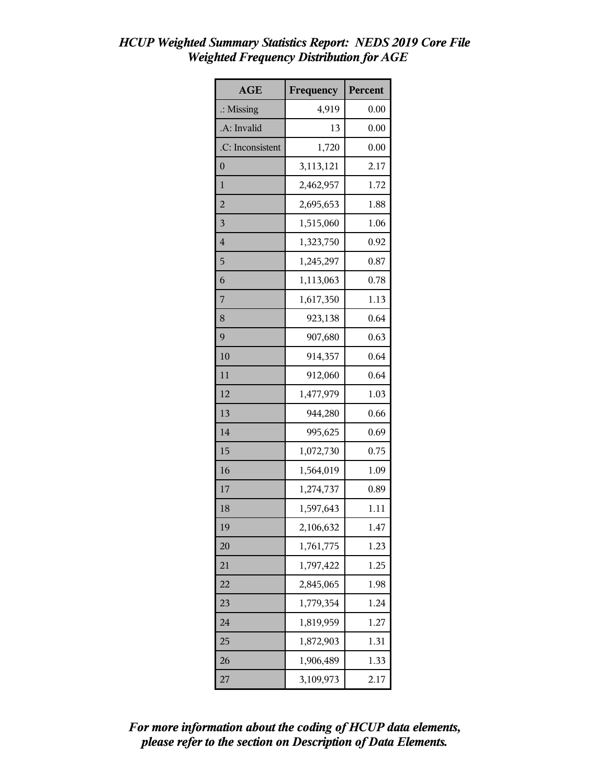| <b>AGE</b>              | Frequency | Percent |
|-------------------------|-----------|---------|
| $\therefore$ Missing    | 4,919     | 0.00    |
| .A: Invalid             | 13        | 0.00    |
| .C: Inconsistent        | 1,720     | 0.00    |
| $\overline{0}$          | 3,113,121 | 2.17    |
| 1                       | 2,462,957 | 1.72    |
| $\overline{a}$          | 2,695,653 | 1.88    |
| $\overline{\mathbf{3}}$ | 1,515,060 | 1.06    |
| $\overline{4}$          | 1,323,750 | 0.92    |
| 5                       | 1,245,297 | 0.87    |
| 6                       | 1,113,063 | 0.78    |
| 7                       | 1,617,350 | 1.13    |
| 8                       | 923,138   | 0.64    |
| 9                       | 907,680   | 0.63    |
| 10                      | 914,357   | 0.64    |
| 11                      | 912,060   | 0.64    |
| 12                      | 1,477,979 | 1.03    |
| 13                      | 944,280   | 0.66    |
| 14                      | 995,625   | 0.69    |
| 15                      | 1,072,730 | 0.75    |
| 16                      | 1,564,019 | 1.09    |
| 17                      | 1,274,737 | 0.89    |
| 18                      | 1,597,643 | 1.11    |
| 19                      | 2,106,632 | 1.47    |
| 20                      | 1,761,775 | 1.23    |
| 21                      | 1,797,422 | 1.25    |
| 22                      | 2,845,065 | 1.98    |
| 23                      | 1,779,354 | 1.24    |
| 24                      | 1,819,959 | 1.27    |
| 25                      | 1,872,903 | 1.31    |
| 26                      | 1,906,489 | 1.33    |
| 27                      | 3,109,973 | 2.17    |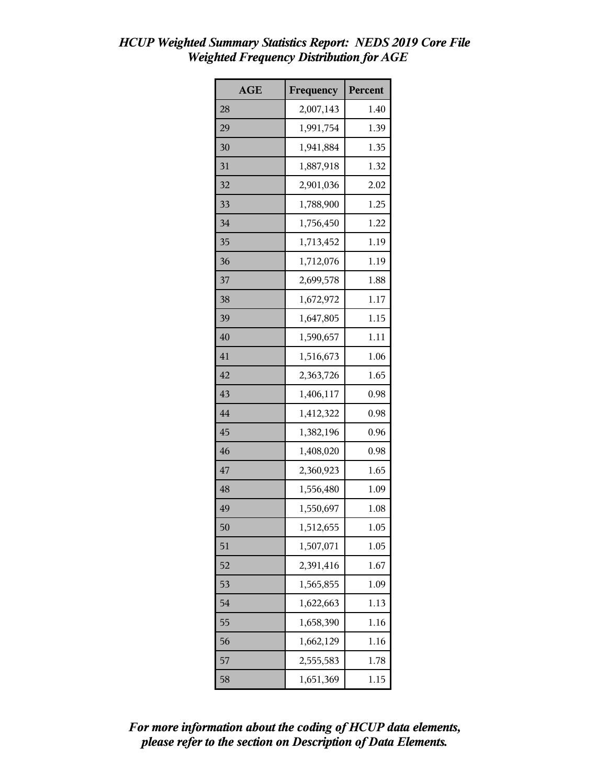| <b>AGE</b> | Frequency | Percent |
|------------|-----------|---------|
| 28         | 2,007,143 | 1.40    |
| 29         | 1,991,754 | 1.39    |
| 30         | 1,941,884 | 1.35    |
| 31         | 1,887,918 | 1.32    |
| 32         | 2,901,036 | 2.02    |
| 33         | 1,788,900 | 1.25    |
| 34         | 1,756,450 | 1.22    |
| 35         | 1,713,452 | 1.19    |
| 36         | 1,712,076 | 1.19    |
| 37         | 2,699,578 | 1.88    |
| 38         | 1,672,972 | 1.17    |
| 39         | 1,647,805 | 1.15    |
| 40         | 1,590,657 | 1.11    |
| 41         | 1,516,673 | 1.06    |
| 42         | 2,363,726 | 1.65    |
| 43         | 1,406,117 | 0.98    |
| 44         | 1,412,322 | 0.98    |
| 45         | 1,382,196 | 0.96    |
| 46         | 1,408,020 | 0.98    |
| 47         | 2,360,923 | 1.65    |
| 48         | 1,556,480 | 1.09    |
| 49         | 1,550,697 | 1.08    |
| 50         | 1,512,655 | 1.05    |
| 51         | 1,507,071 | 1.05    |
| 52         | 2,391,416 | 1.67    |
| 53         | 1,565,855 | 1.09    |
| 54         | 1,622,663 | 1.13    |
| 55         | 1,658,390 | 1.16    |
| 56         | 1,662,129 | 1.16    |
| 57         | 2,555,583 | 1.78    |
| 58         | 1,651,369 | 1.15    |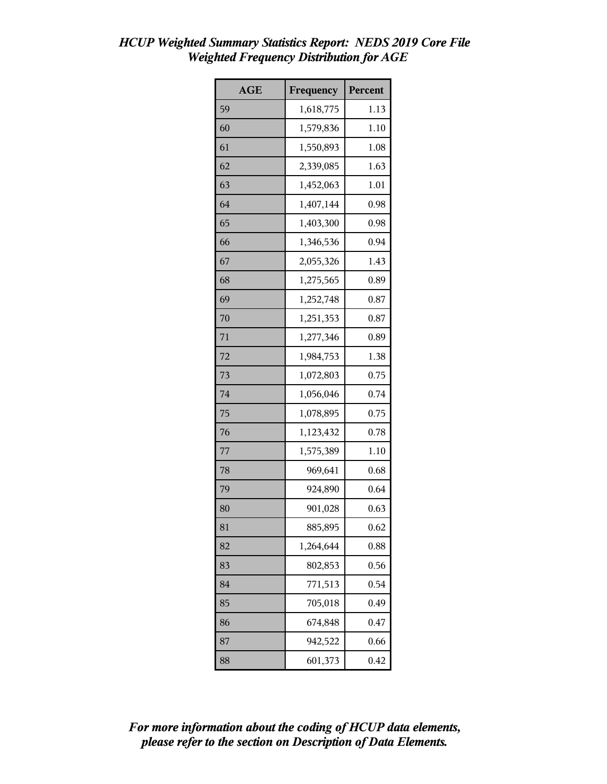| <b>AGE</b> | Frequency | Percent |
|------------|-----------|---------|
| 59         | 1,618,775 | 1.13    |
| 60         | 1,579,836 | 1.10    |
| 61         | 1,550,893 | 1.08    |
| 62         | 2,339,085 | 1.63    |
| 63         | 1,452,063 | 1.01    |
| 64         | 1,407,144 | 0.98    |
| 65         | 1,403,300 | 0.98    |
| 66         | 1,346,536 | 0.94    |
| 67         | 2,055,326 | 1.43    |
| 68         | 1,275,565 | 0.89    |
| 69         | 1,252,748 | 0.87    |
| 70         | 1,251,353 | 0.87    |
| 71         | 1,277,346 | 0.89    |
| 72         | 1,984,753 | 1.38    |
| 73         | 1,072,803 | 0.75    |
| 74         | 1,056,046 | 0.74    |
| 75         | 1,078,895 | 0.75    |
| 76         | 1,123,432 | 0.78    |
| 77         | 1,575,389 | 1.10    |
| 78         | 969,641   | 0.68    |
| 79         | 924,890   | 0.64    |
| 80         | 901,028   | 0.63    |
| 81         | 885,895   | 0.62    |
| 82         | 1,264,644 | 0.88    |
| 83         | 802,853   | 0.56    |
| 84         | 771,513   | 0.54    |
| 85         | 705,018   | 0.49    |
| 86         | 674,848   | 0.47    |
| 87         | 942,522   | 0.66    |
| 88         | 601,373   | 0.42    |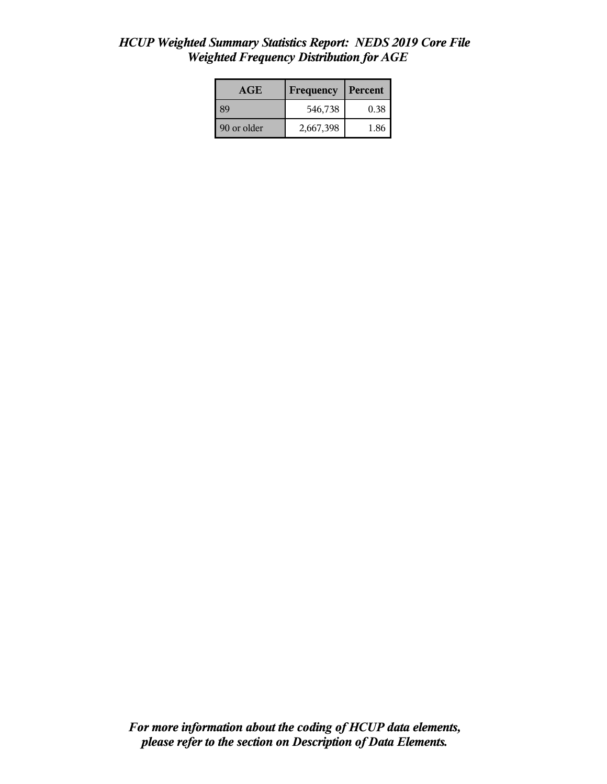| <b>AGE</b>  | Frequency | Percent |
|-------------|-----------|---------|
| -89         | 546,738   | 0.38    |
| 90 or older | 2,667,398 | 1.86    |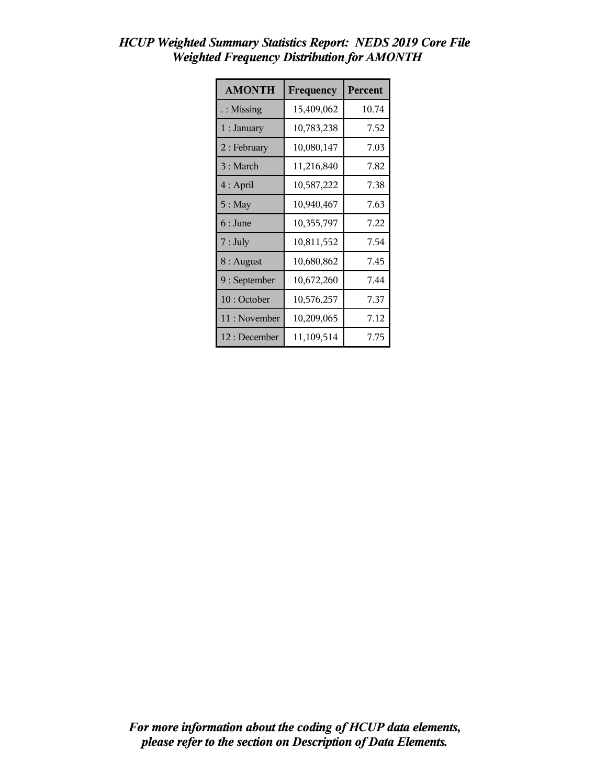| <b>AMONTH</b>        | Frequency  | Percent |
|----------------------|------------|---------|
| $\therefore$ Missing | 15,409,062 | 10.74   |
| 1 : January          | 10,783,238 | 7.52    |
| $2:$ February        | 10,080,147 | 7.03    |
| 3 : March            | 11,216,840 | 7.82    |
| $4:$ April           | 10,587,222 | 7.38    |
| $5:$ May             | 10,940,467 | 7.63    |
| $6:$ June            | 10,355,797 | 7.22    |
| $7:$ July            | 10,811,552 | 7.54    |
| $8:$ August          | 10,680,862 | 7.45    |
| 9: September         | 10,672,260 | 7.44    |
| 10: October          | 10,576,257 | 7.37    |
| 11 : November        | 10,209,065 | 7.12    |
| 12 : December        | 11,109,514 | 7.75    |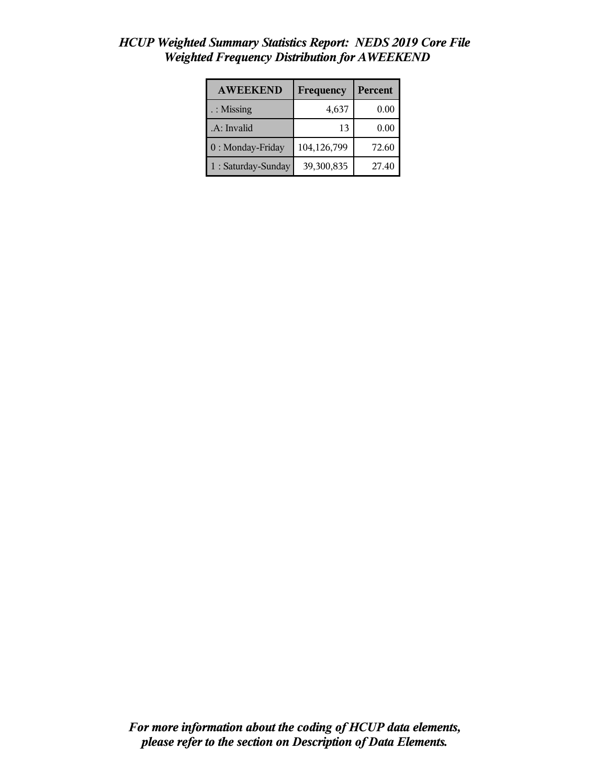| <b>AWEEKEND</b>     | Frequency   | Percent |
|---------------------|-------------|---------|
| $:$ Missing         | 4,637       | 0.00    |
| .A: Invalid         | 13          | 0.00    |
| 0: Monday-Friday    | 104,126,799 | 72.60   |
| 1 : Saturday-Sunday | 39,300,835  | 27.40   |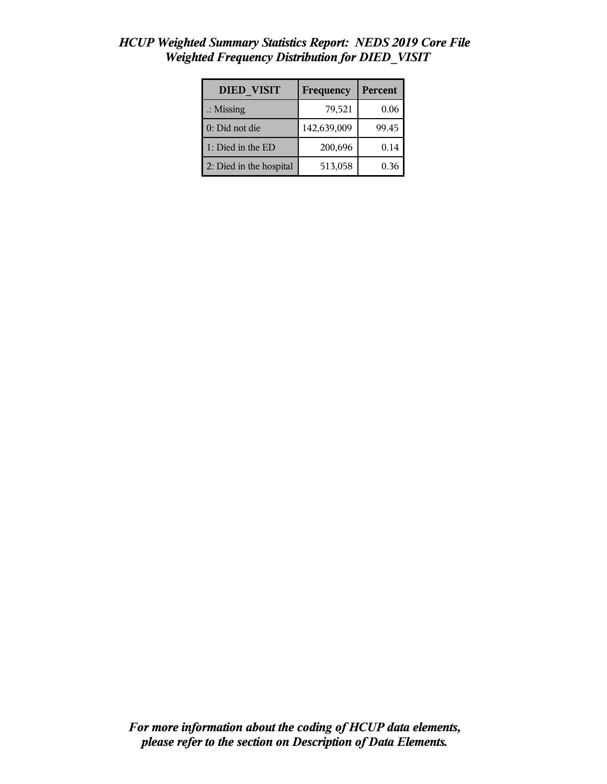| <b>DIED VISIT</b>       | Frequency   | Percent |
|-------------------------|-------------|---------|
| $\therefore$ Missing    | 79,521      | 0.06    |
| 0: Did not die          | 142,639,009 | 99.45   |
| 1: Died in the ED       | 200,696     | 0.14    |
| 2: Died in the hospital | 513,058     | 0.36    |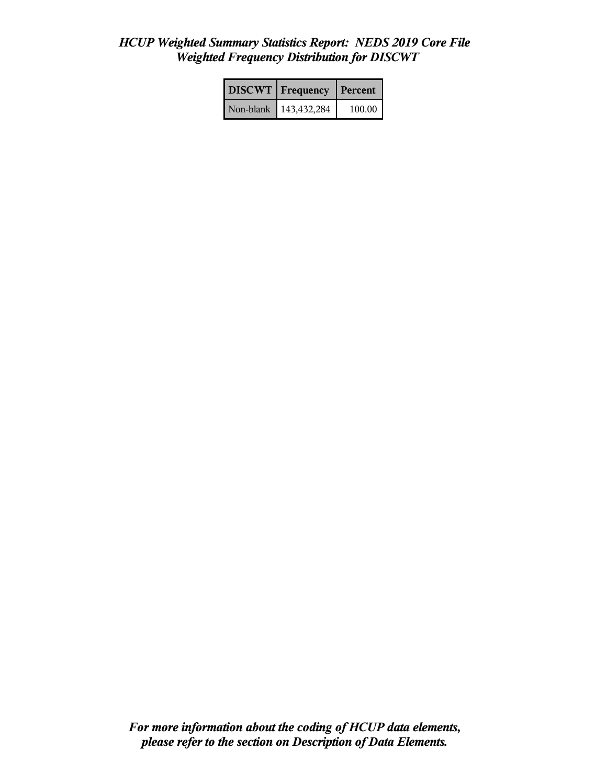|           | <b>DISCWT</b>   Frequency | <b>Percent</b> |
|-----------|---------------------------|----------------|
| Non-blank | 143,432,284               | 100.00         |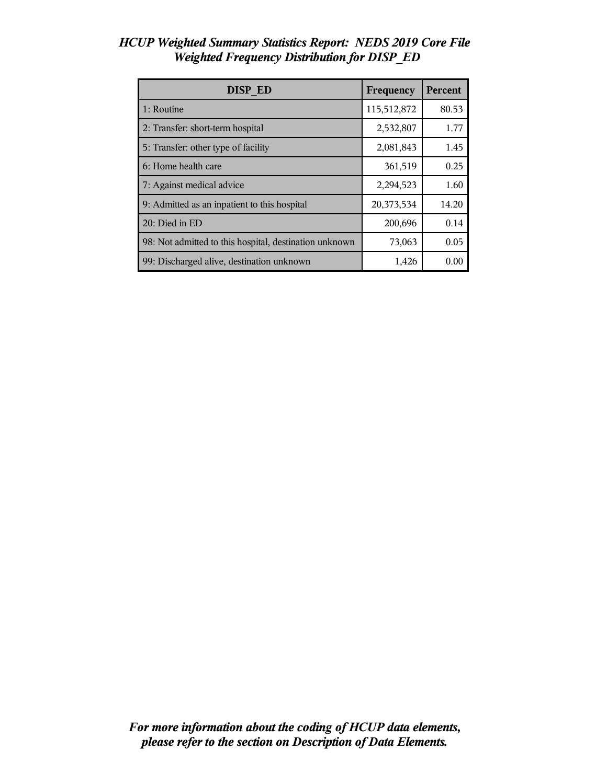| <b>DISP ED</b>                                         | Frequency   | Percent |
|--------------------------------------------------------|-------------|---------|
| 1: Routine                                             | 115,512,872 | 80.53   |
| 2: Transfer: short-term hospital                       | 2,532,807   | 1.77    |
| 5: Transfer: other type of facility                    | 2,081,843   | 1.45    |
| 6: Home health care                                    | 361,519     | 0.25    |
| 7: Against medical advice                              | 2,294,523   | 1.60    |
| 9: Admitted as an inpatient to this hospital           | 20,373,534  | 14.20   |
| 20: Died in ED                                         | 200,696     | 0.14    |
| 98: Not admitted to this hospital, destination unknown | 73,063      | 0.05    |
| 99: Discharged alive, destination unknown              | 1,426       | 0.00    |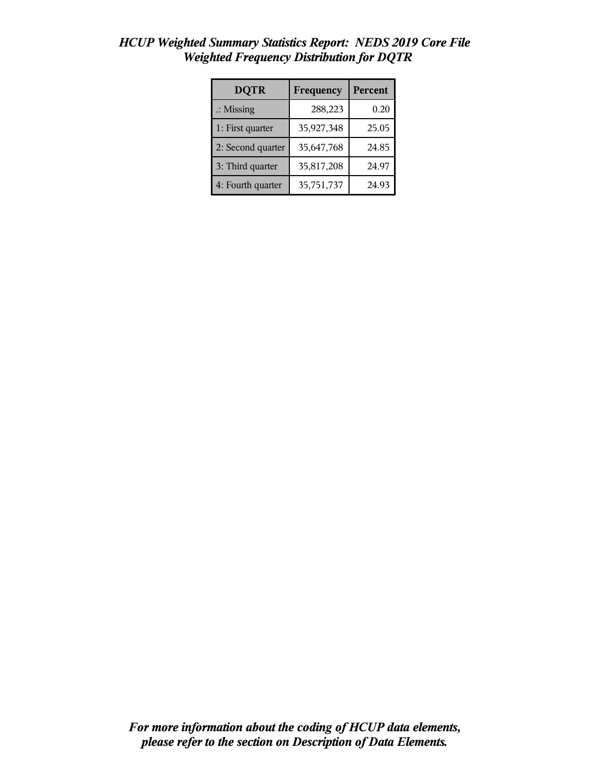| <b>DQTR</b>          | Frequency  | <b>Percent</b> |
|----------------------|------------|----------------|
| $\therefore$ Missing | 288,223    | 0.20           |
| 1: First quarter     | 35,927,348 | 25.05          |
| 2: Second quarter    | 35,647,768 | 24.85          |
| 3: Third quarter     | 35,817,208 | 24.97          |
| 4: Fourth quarter    | 35,751,737 | 24.93          |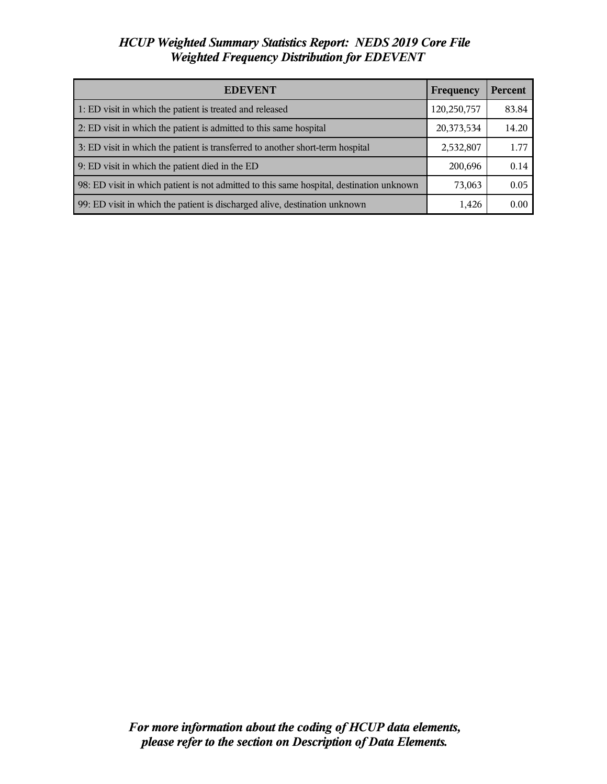| <b>EDEVENT</b>                                                                           | Frequency   | <b>Percent</b> |
|------------------------------------------------------------------------------------------|-------------|----------------|
| 1: ED visit in which the patient is treated and released                                 | 120,250,757 | 83.84          |
| 2: ED visit in which the patient is admitted to this same hospital                       | 20,373,534  | 14.20          |
| 3: ED visit in which the patient is transferred to another short-term hospital           | 2,532,807   | 1.77           |
| 9: ED visit in which the patient died in the ED                                          | 200,696     | 0.14           |
| 98: ED visit in which patient is not admitted to this same hospital, destination unknown | 73,063      | 0.05           |
| 99: ED visit in which the patient is discharged alive, destination unknown               | 1,426       | 0.00           |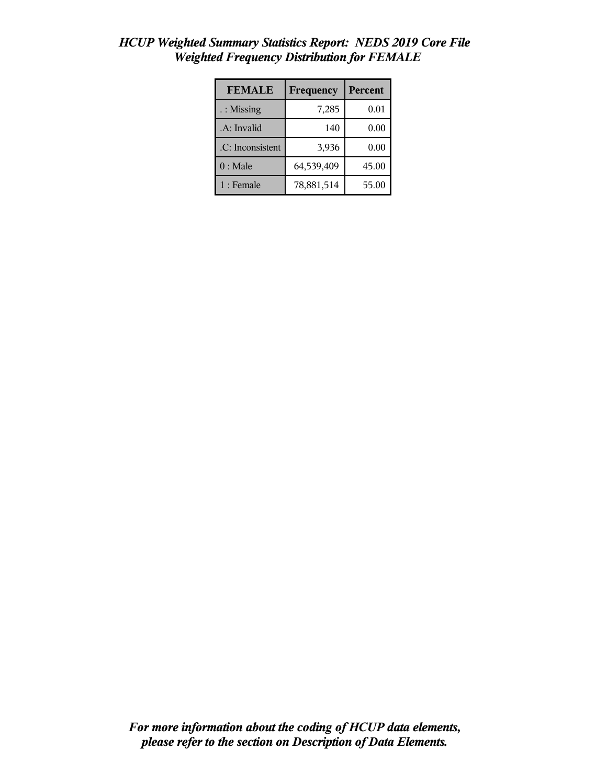| <b>FEMALE</b>        | Frequency  | <b>Percent</b> |
|----------------------|------------|----------------|
| $\therefore$ Missing | 7,285      | 0.01           |
| .A: Invalid          | 140        | 0.00           |
| .C: Inconsistent     | 3,936      | 0.00           |
| $0:$ Male            | 64,539,409 | 45.00          |
| $1:$ Female          | 78,881,514 | 55.00          |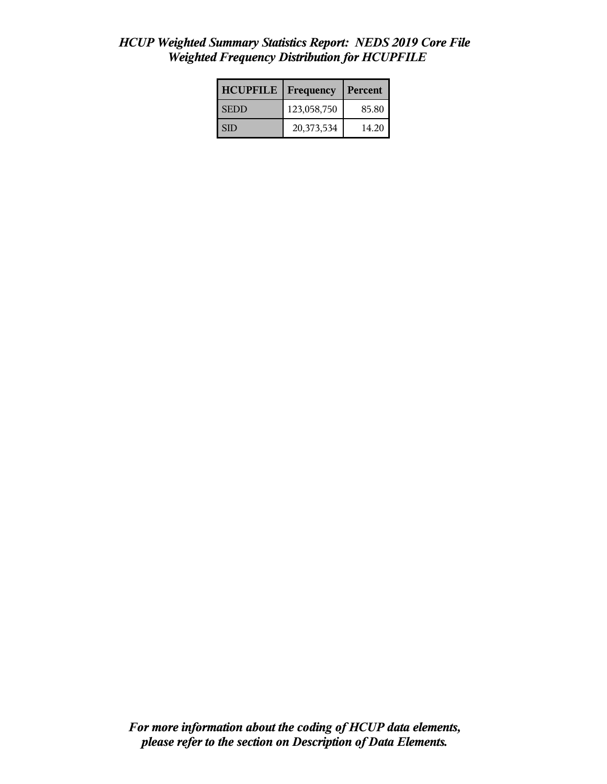| <b>HCUPFILE</b> | <b>Frequency</b> | Percent |
|-----------------|------------------|---------|
| <b>SEDD</b>     | 123,058,750      | 85.80   |
| I SID           | 20,373,534       | 14.20   |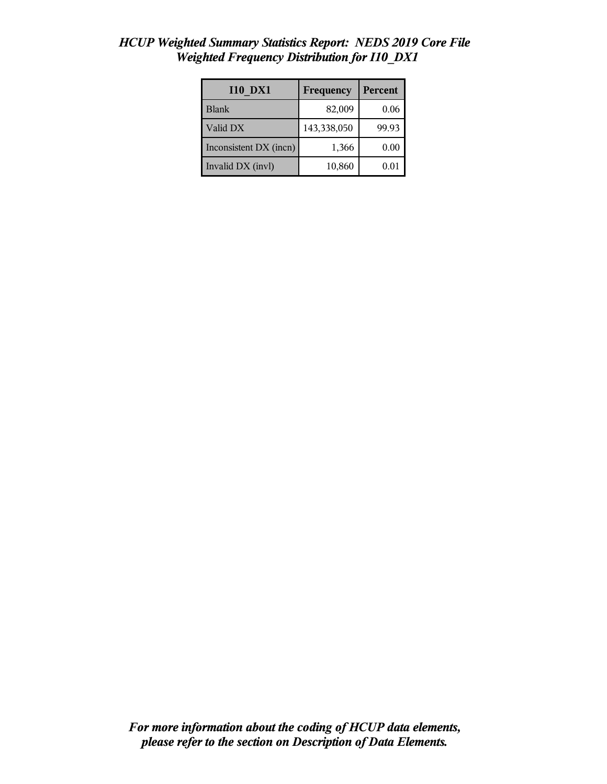| <b>I10 DX1</b>         | Frequency   | Percent |
|------------------------|-------------|---------|
| <b>Blank</b>           | 82,009      | 0.06    |
| Valid DX               | 143,338,050 | 99.93   |
| Inconsistent DX (incn) | 1,366       | 0.00    |
| Invalid DX (invl)      | 10,860      | 0.01    |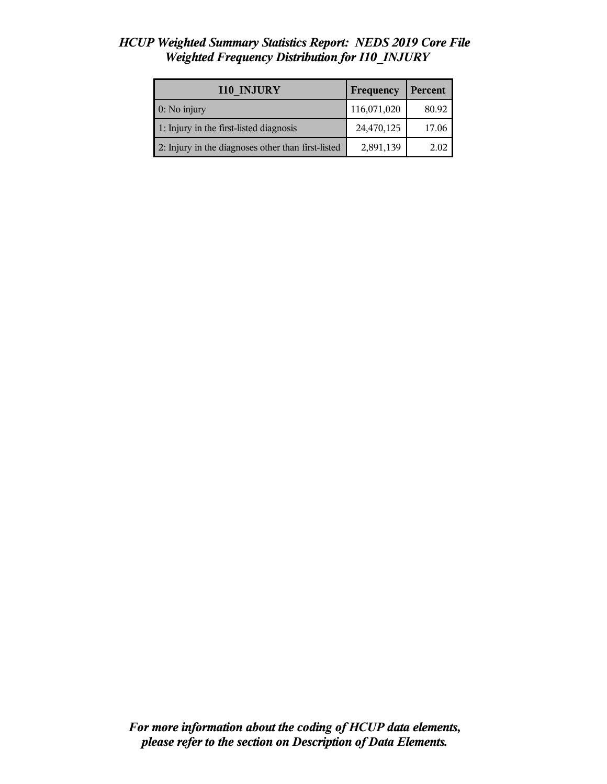| <b>I10 INJURY</b>                                  | Frequency   | Percent |
|----------------------------------------------------|-------------|---------|
| 0: No injury                                       | 116,071,020 | 80.92   |
| 1: Injury in the first-listed diagnosis            | 24,470,125  | 17.06   |
| 2: Injury in the diagnoses other than first-listed | 2,891,139   | 2.02    |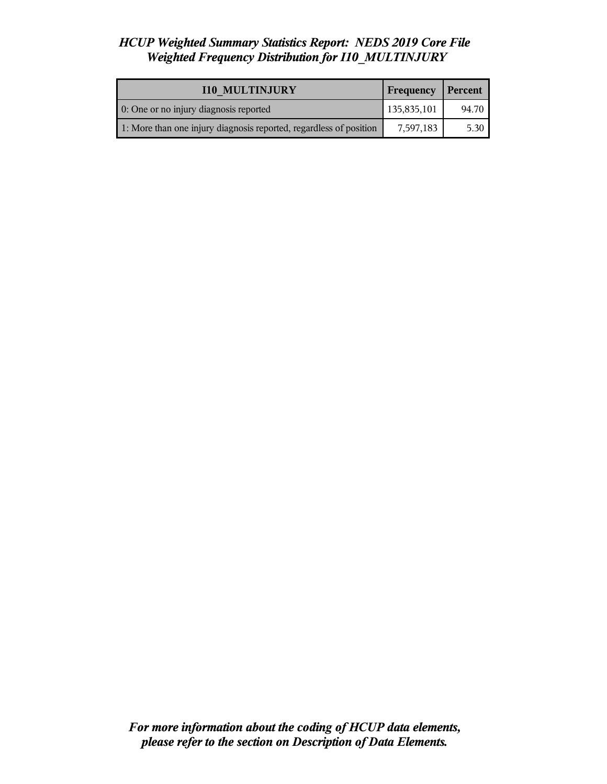| <b>I10 MULTINJURY</b>                                              | Frequency   | Percent |
|--------------------------------------------------------------------|-------------|---------|
| 0: One or no injury diagnosis reported                             | 135,835,101 | 94.70   |
| 1: More than one injury diagnosis reported, regardless of position | 7,597,183   | 5.30    |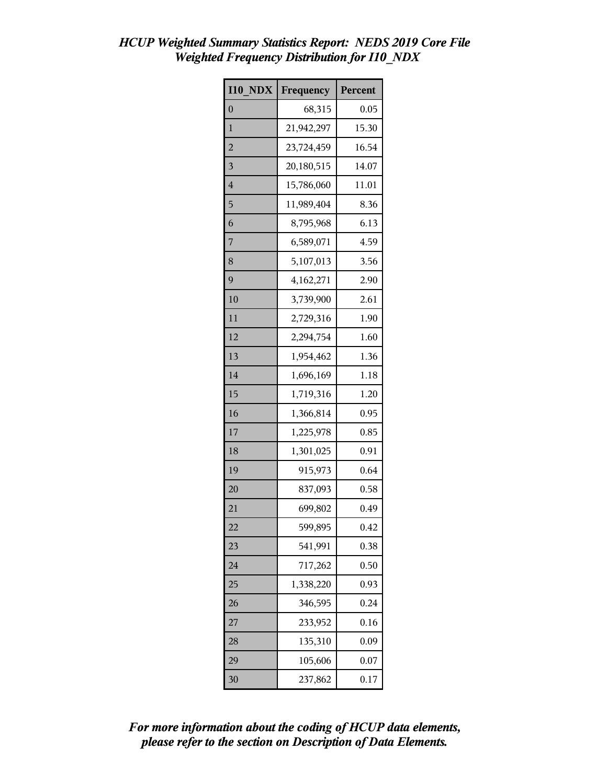|                         | $\mathcal{L}$ $\mathcal{L}$ $\mathcal{L}$ $\mathcal{L}$ $\mathcal{L}$ $\mathcal{L}$ $\mathcal{L}$ $\mathcal{L}$ $\mathcal{L}$ $\mathcal{L}$ $\mathcal{L}$ $\mathcal{L}$ $\mathcal{L}$ $\mathcal{L}$ $\mathcal{L}$ $\mathcal{L}$ $\mathcal{L}$ $\mathcal{L}$ $\mathcal{L}$ $\mathcal{L}$ $\mathcal{L}$ $\mathcal{L}$ $\mathcal{L}$ $\mathcal{L}$ $\mathcal{$<br>Weighted Frequency Distribution for I10 NDX |         |
|-------------------------|------------------------------------------------------------------------------------------------------------------------------------------------------------------------------------------------------------------------------------------------------------------------------------------------------------------------------------------------------------------------------------------------------------|---------|
| <b>I10 NDX</b>          | Frequency                                                                                                                                                                                                                                                                                                                                                                                                  | Percent |
| $\theta$                | 68,315                                                                                                                                                                                                                                                                                                                                                                                                     | 0.05    |
| 1                       | 21,942,297                                                                                                                                                                                                                                                                                                                                                                                                 | 15.30   |
| $\overline{2}$          | 23,724,459                                                                                                                                                                                                                                                                                                                                                                                                 | 16.54   |
| $\overline{\mathbf{3}}$ | 20,180,515                                                                                                                                                                                                                                                                                                                                                                                                 | 14.07   |
| $\overline{4}$          | 15,786,060                                                                                                                                                                                                                                                                                                                                                                                                 | 11.01   |
| 5                       | 11,989,404                                                                                                                                                                                                                                                                                                                                                                                                 | 8.36    |
| 6                       | 8,795,968                                                                                                                                                                                                                                                                                                                                                                                                  | 6.13    |
|                         |                                                                                                                                                                                                                                                                                                                                                                                                            |         |

| $\mathbf{1}$   | 21,942,297 | 15.30 |
|----------------|------------|-------|
| $\overline{c}$ | 23,724,459 | 16.54 |
| 3              | 20,180,515 | 14.07 |
| $\overline{4}$ | 15,786,060 | 11.01 |
| 5              | 11,989,404 | 8.36  |
| 6              | 8,795,968  | 6.13  |
| 7              | 6,589,071  | 4.59  |
| 8              | 5,107,013  | 3.56  |
| 9              | 4,162,271  | 2.90  |
| 10             | 3,739,900  | 2.61  |
| 11             | 2,729,316  | 1.90  |
| 12             | 2,294,754  | 1.60  |
| 13             | 1,954,462  | 1.36  |
| 14             | 1,696,169  | 1.18  |
| 15             | 1,719,316  | 1.20  |
| 16             | 1,366,814  | 0.95  |
| 17             | 1,225,978  | 0.85  |
| 18             | 1,301,025  | 0.91  |
| 19             | 915,973    | 0.64  |
| 20             | 837,093    | 0.58  |
| 21             | 699,802    | 0.49  |
| 22             | 599,895    | 0.42  |
| 23             | 541,991    | 0.38  |
| 24             | 717,262    | 0.50  |
| 25             | 1,338,220  | 0.93  |
| 26             | 346,595    | 0.24  |
| 27             | 233,952    | 0.16  |
| 28             | 135,310    | 0.09  |
| 29             | 105,606    | 0.07  |
| 30             | 237,862    | 0.17  |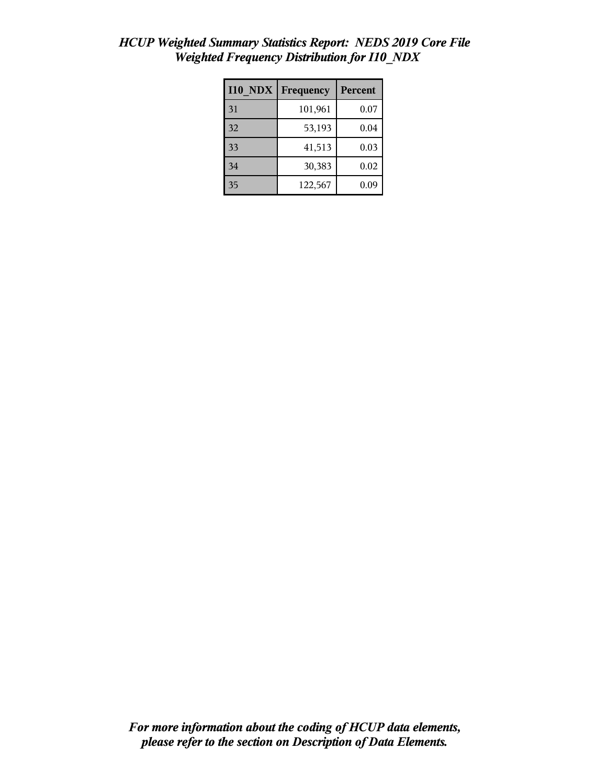| <b>I10 NDX</b> | Frequency | Percent |
|----------------|-----------|---------|
| 31             | 101,961   | 0.07    |
| 32             | 53,193    | 0.04    |
| 33             | 41,513    | 0.03    |
| 34             | 30,383    | 0.02    |
| 35             | 122,567   | 0.09    |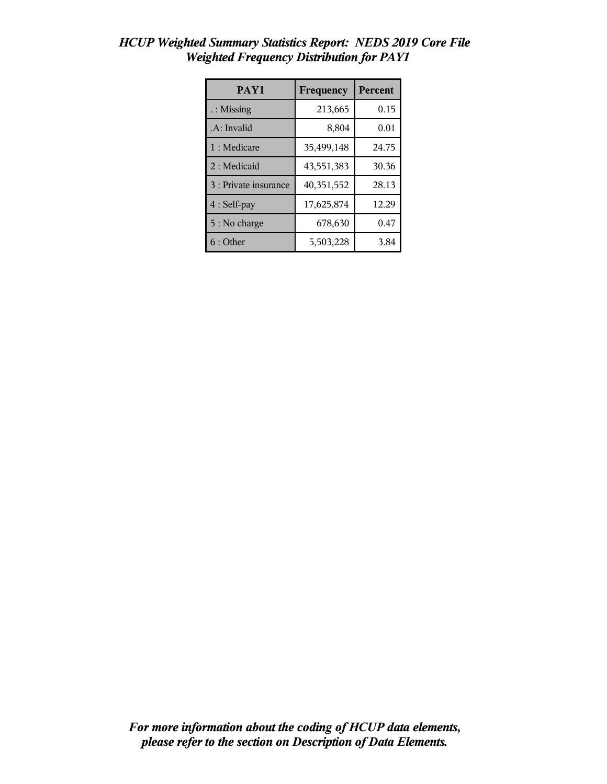| PAY1                  | Frequency  | Percent |
|-----------------------|------------|---------|
| : Missing             | 213,665    | 0.15    |
| .A: Invalid           | 8,804      | 0.01    |
| 1 : Medicare          | 35,499,148 | 24.75   |
| 2 : Medicaid          | 43,551,383 | 30.36   |
| 3 : Private insurance | 40,351,552 | 28.13   |
| 4 : Self-pay          | 17,625,874 | 12.29   |
| 5 : No charge         | 678,630    | 0.47    |
| 6:Other               | 5,503,228  | 3.84    |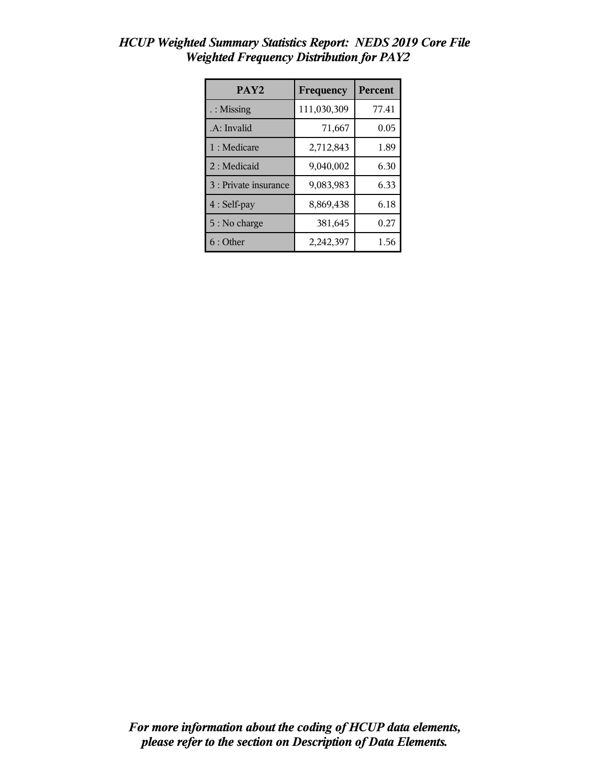| PAY <sub>2</sub>      | Frequency   | <b>Percent</b> |
|-----------------------|-------------|----------------|
| $\therefore$ Missing  | 111,030,309 | 77.41          |
| .A: Invalid           | 71,667      | 0.05           |
| 1 : Medicare          | 2,712,843   | 1.89           |
| 2: Medicaid           | 9,040,002   | 6.30           |
| 3 : Private insurance | 9,083,983   | 6.33           |
| 4 : Self-pay          | 8,869,438   | 6.18           |
| 5 : No charge         | 381,645     | 0.27           |
| 6 : Other             | 2,242,397   | 1.56           |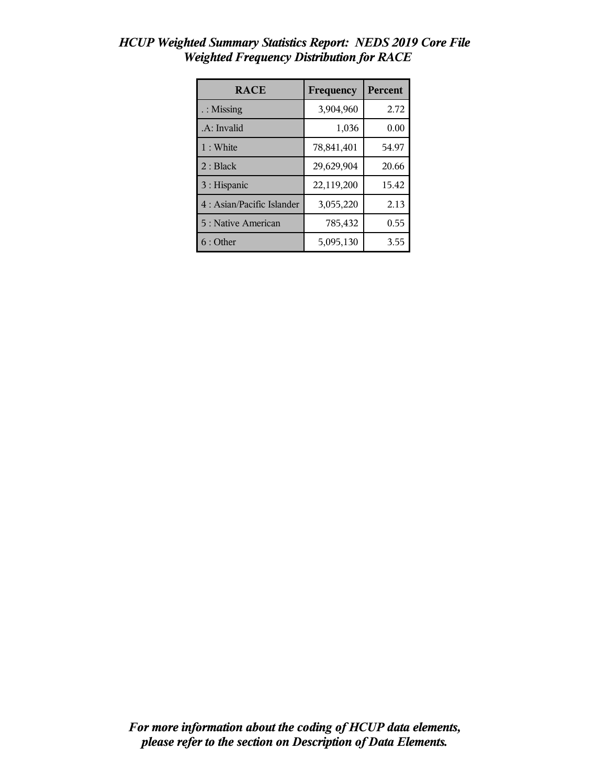| <b>RACE</b>                | Frequency  | <b>Percent</b> |
|----------------------------|------------|----------------|
| $\therefore$ Missing       | 3,904,960  | 2.72           |
| .A: Invalid                | 1,036      | 0.00           |
| 1:White                    | 78,841,401 | 54.97          |
| 2: Black                   | 29,629,904 | 20.66          |
| 3 : Hispanic               | 22,119,200 | 15.42          |
| 4 : Asian/Pacific Islander | 3,055,220  | 2.13           |
| 5 : Native American        | 785,432    | 0.55           |
| 6:Other                    | 5,095,130  | 3.55           |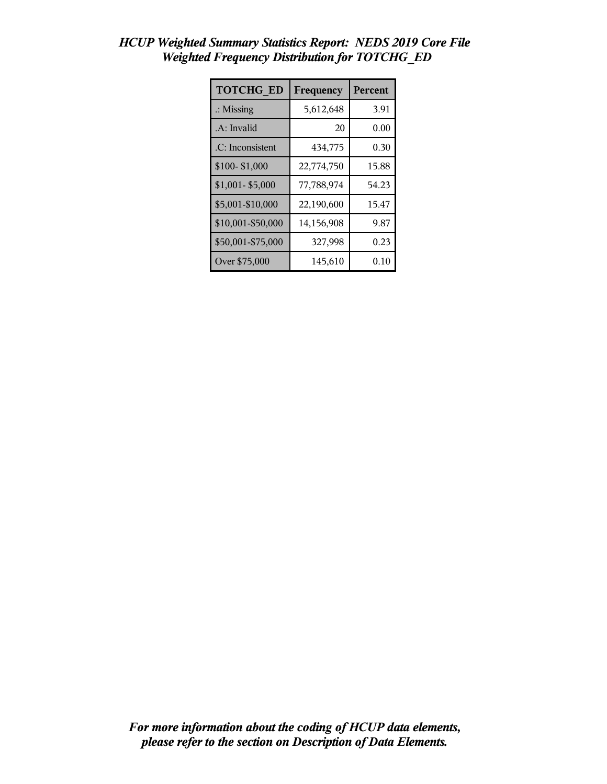| <b>TOTCHG ED</b>     | Frequency  | Percent |
|----------------------|------------|---------|
| $\therefore$ Missing | 5,612,648  | 3.91    |
| .A: Invalid          | 20         | 0.00    |
| .C: Inconsistent     | 434,775    | 0.30    |
| \$100-\$1,000        | 22,774,750 | 15.88   |
| \$1,001-\$5,000      | 77,788,974 | 54.23   |
| \$5,001-\$10,000     | 22,190,600 | 15.47   |
| \$10,001-\$50,000    | 14,156,908 | 9.87    |
| \$50,001-\$75,000    | 327,998    | 0.23    |
| Over \$75,000        | 145,610    | 0.10    |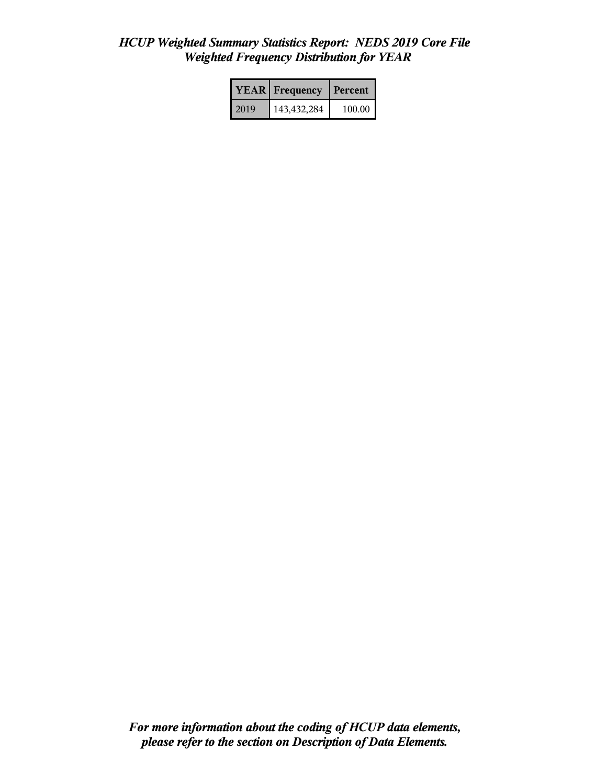|      | <b>YEAR</b> Frequency | Percent  |  |
|------|-----------------------|----------|--|
| 2019 | 143,432,284           | 100.00 l |  |